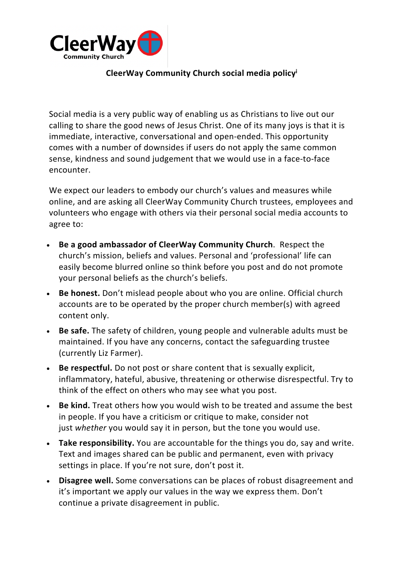

## **CleerWay Community Church social media policyi**

Social media is a very public way of enabling us as Christians to live out our calling to share the good news of Jesus Christ. One of its many joys is that it is immediate, interactive, conversational and open-ended. This opportunity comes with a number of downsides if users do not apply the same common sense, kindness and sound judgement that we would use in a face-to-face encounter.

We expect our leaders to embody our church's values and measures while online, and are asking all CleerWay Community Church trustees, employees and volunteers who engage with others via their personal social media accounts to agree to:

- **Be a good ambassador of CleerWay Community Church**. Respect the church's mission, beliefs and values. Personal and 'professional' life can easily become blurred online so think before you post and do not promote your personal beliefs as the church's beliefs.
- **Be honest.** Don't mislead people about who you are online. Official church accounts are to be operated by the proper church member(s) with agreed content only.
- **Be safe.** The safety of children, young people and vulnerable adults must be maintained. If you have any concerns, contact the safeguarding trustee (currently Liz Farmer).
- **Be respectful.** Do not post or share content that is sexually explicit, inflammatory, hateful, abusive, threatening or otherwise disrespectful. Try to think of the effect on others who may see what you post.
- **Be kind.** Treat others how you would wish to be treated and assume the best in people. If you have a criticism or critique to make, consider not just *whether* you would say it in person, but the tone you would use.
- **Take responsibility.** You are accountable for the things you do, say and write. Text and images shared can be public and permanent, even with privacy settings in place. If you're not sure, don't post it.
- **Disagree well.** Some conversations can be places of robust disagreement and it's important we apply our values in the way we express them. Don't continue a private disagreement in public.